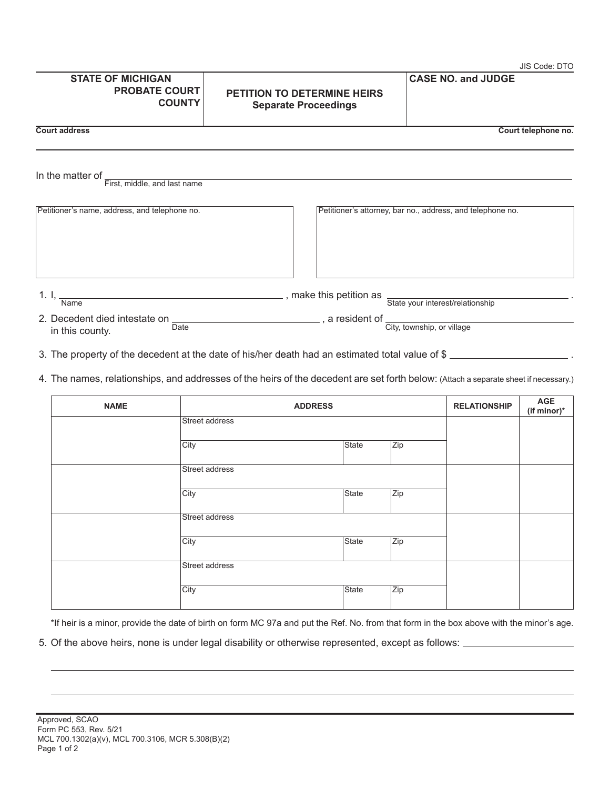|                                                                           |                                                                                                                                                                                                                                | JIS Code: DTO                                              |
|---------------------------------------------------------------------------|--------------------------------------------------------------------------------------------------------------------------------------------------------------------------------------------------------------------------------|------------------------------------------------------------|
| <b>STATE OF MICHIGAN</b><br><b>PROBATE COURT</b><br><b>COUNTY</b>         | <b>PETITION TO DETERMINE HEIRS</b><br><b>Separate Proceedings</b>                                                                                                                                                              | <b>CASE NO. and JUDGE</b>                                  |
| <b>Court address</b>                                                      |                                                                                                                                                                                                                                | Court telephone no.                                        |
| In the matter of $\overline{\phantom{a}}$<br>First, middle, and last name |                                                                                                                                                                                                                                |                                                            |
| Petitioner's name, address, and telephone no.                             |                                                                                                                                                                                                                                | Petitioner's attorney, bar no., address, and telephone no. |
| 1. I, $\frac{1}{x}$<br><b>Name</b>                                        | त्रिके अन्य स्थापिक अन्य स्थापिक अन्य स्थापिक अन्य स्थापिक अन्य स्थापिक अन्य स्थापिक अन्य स्थापिक अन्य स्थापिक<br>स्थापिक अन्य स्थापिक अन्य स्थापिक अन्य स्थापिक अन्य स्थापिक अन्य स्थापिक अन्य स्थापिक अन्य स्थापिक अन्य स्था |                                                            |
|                                                                           | 2. Decedent died intestate on $\frac{1}{2}$ a resident of $\frac{1}{2}$                                                                                                                                                        |                                                            |

3. The property of the decedent at the date of his/her death had an estimated total value of \$

in this county. Determined the county of the county.

**Date** 

4. The names, relationships, and addresses of the heirs of the decedent are set forth below: (Attach a separate sheet if necessary.)

| <b>NAME</b> | <b>ADDRESS</b> |       | <b>RELATIONSHIP</b> | AGE<br>(if minor)* |  |
|-------------|----------------|-------|---------------------|--------------------|--|
|             | Street address |       |                     |                    |  |
|             | City           | State | Zip                 |                    |  |
|             | Street address |       |                     |                    |  |
|             | City           | State | Zip                 |                    |  |
|             | Street address |       |                     |                    |  |
|             | City           | State | Zip                 |                    |  |
|             | Street address |       |                     |                    |  |
|             | City           | State | Zip                 |                    |  |

\*If heir is a minor, provide the date of birth on form MC 97a and put the Ref. No. from that form in the box above with the minor's age.

5. Of the above heirs, none is under legal disability or otherwise represented, except as follows:  $\_\_$